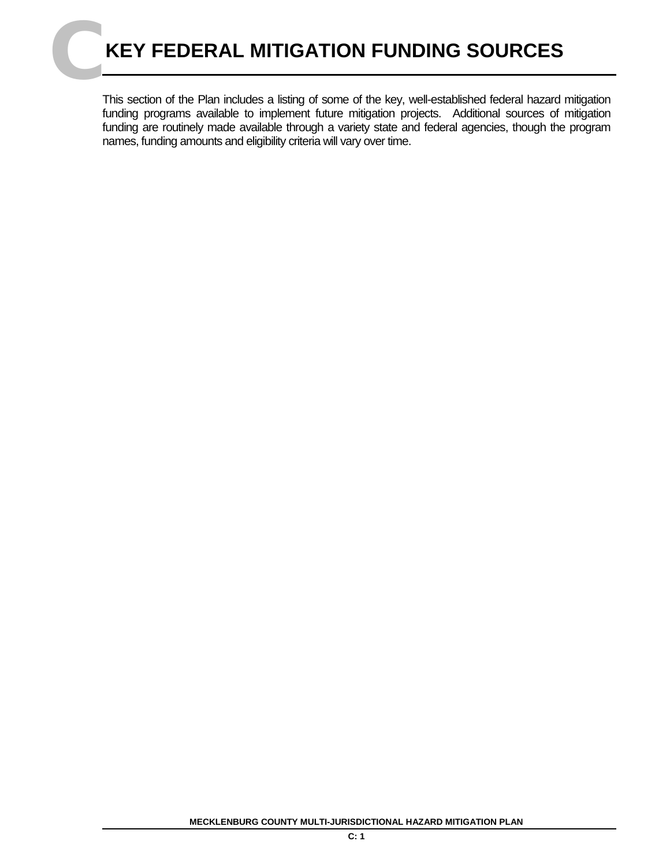This section of the Plan includes a listing of some of the key, well-established federal hazard mitigation funding programs available to implement future mitigation projects. Additional sources of mitigation funding are routinely made available through a variety state and federal agencies, though the program names, funding amounts and eligibility criteria will vary over time.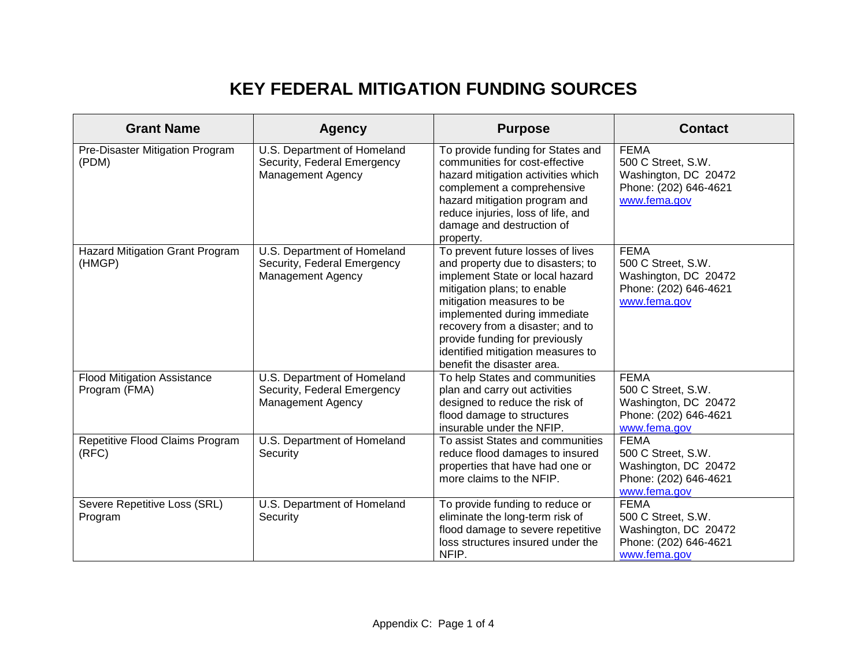## **KEY FEDERAL MITIGATION FUNDING SOURCES**

| <b>Grant Name</b>                                   | <b>Agency</b>                                                                          | <b>Purpose</b>                                                                                                                                                                                                                                                                                                                                 | <b>Contact</b>                                                                                     |
|-----------------------------------------------------|----------------------------------------------------------------------------------------|------------------------------------------------------------------------------------------------------------------------------------------------------------------------------------------------------------------------------------------------------------------------------------------------------------------------------------------------|----------------------------------------------------------------------------------------------------|
| Pre-Disaster Mitigation Program<br>(PDM)            | U.S. Department of Homeland<br>Security, Federal Emergency<br><b>Management Agency</b> | To provide funding for States and<br>communities for cost-effective<br>hazard mitigation activities which<br>complement a comprehensive<br>hazard mitigation program and<br>reduce injuries, loss of life, and<br>damage and destruction of<br>property.                                                                                       | <b>FEMA</b><br>500 C Street, S.W.<br>Washington, DC 20472<br>Phone: (202) 646-4621<br>www.fema.gov |
| <b>Hazard Mitigation Grant Program</b><br>(HMGP)    | U.S. Department of Homeland<br>Security, Federal Emergency<br><b>Management Agency</b> | To prevent future losses of lives<br>and property due to disasters; to<br>implement State or local hazard<br>mitigation plans; to enable<br>mitigation measures to be<br>implemented during immediate<br>recovery from a disaster; and to<br>provide funding for previously<br>identified mitigation measures to<br>benefit the disaster area. | <b>FEMA</b><br>500 C Street, S.W.<br>Washington, DC 20472<br>Phone: (202) 646-4621<br>www.fema.gov |
| <b>Flood Mitigation Assistance</b><br>Program (FMA) | U.S. Department of Homeland<br>Security, Federal Emergency<br><b>Management Agency</b> | To help States and communities<br>plan and carry out activities<br>designed to reduce the risk of<br>flood damage to structures<br>insurable under the NFIP.                                                                                                                                                                                   | <b>FEMA</b><br>500 C Street, S.W.<br>Washington, DC 20472<br>Phone: (202) 646-4621<br>www.fema.gov |
| Repetitive Flood Claims Program<br>(RFC)            | U.S. Department of Homeland<br>Security                                                | To assist States and communities<br>reduce flood damages to insured<br>properties that have had one or<br>more claims to the NFIP.                                                                                                                                                                                                             | <b>FEMA</b><br>500 C Street, S.W.<br>Washington, DC 20472<br>Phone: (202) 646-4621<br>www.fema.gov |
| Severe Repetitive Loss (SRL)<br>Program             | U.S. Department of Homeland<br>Security                                                | To provide funding to reduce or<br>eliminate the long-term risk of<br>flood damage to severe repetitive<br>loss structures insured under the<br>NFIP.                                                                                                                                                                                          | <b>FEMA</b><br>500 C Street, S.W.<br>Washington, DC 20472<br>Phone: (202) 646-4621<br>www.fema.gov |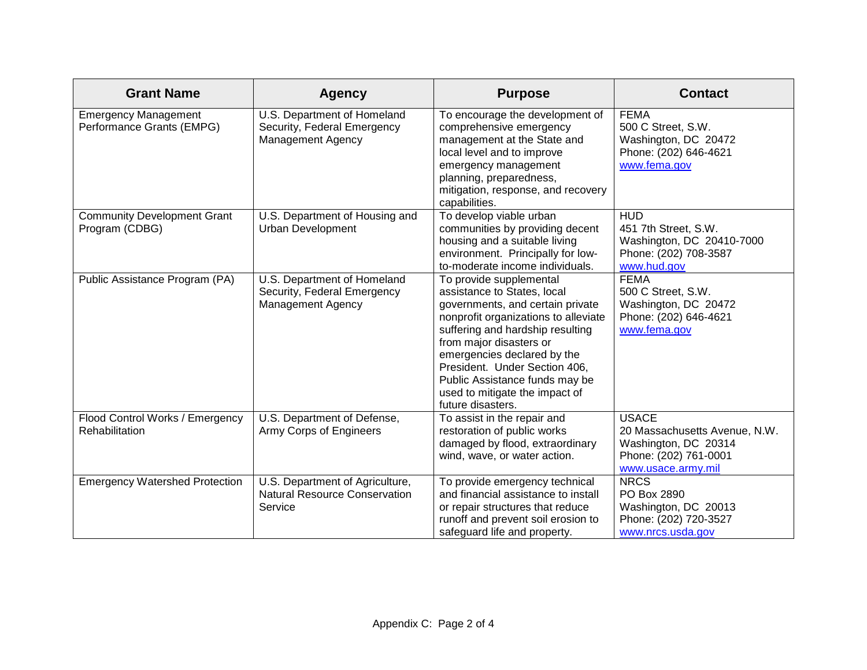| <b>Grant Name</b>                                        | <b>Agency</b>                                                                          | <b>Purpose</b>                                                                                                                                                                                                                                                                                                                                             | <b>Contact</b>                                                                                                       |
|----------------------------------------------------------|----------------------------------------------------------------------------------------|------------------------------------------------------------------------------------------------------------------------------------------------------------------------------------------------------------------------------------------------------------------------------------------------------------------------------------------------------------|----------------------------------------------------------------------------------------------------------------------|
| <b>Emergency Management</b><br>Performance Grants (EMPG) | U.S. Department of Homeland<br>Security, Federal Emergency<br><b>Management Agency</b> | To encourage the development of<br>comprehensive emergency<br>management at the State and<br>local level and to improve<br>emergency management<br>planning, preparedness,<br>mitigation, response, and recovery<br>capabilities.                                                                                                                          | <b>FEMA</b><br>500 C Street, S.W.<br>Washington, DC 20472<br>Phone: (202) 646-4621<br>www.fema.gov                   |
| <b>Community Development Grant</b><br>Program (CDBG)     | U.S. Department of Housing and<br><b>Urban Development</b>                             | To develop viable urban<br>communities by providing decent<br>housing and a suitable living<br>environment. Principally for low-<br>to-moderate income individuals.                                                                                                                                                                                        | <b>HUD</b><br>451 7th Street, S.W.<br>Washington, DC 20410-7000<br>Phone: (202) 708-3587<br>www.hud.gov              |
| Public Assistance Program (PA)                           | U.S. Department of Homeland<br>Security, Federal Emergency<br><b>Management Agency</b> | To provide supplemental<br>assistance to States, local<br>governments, and certain private<br>nonprofit organizations to alleviate<br>suffering and hardship resulting<br>from major disasters or<br>emergencies declared by the<br>President. Under Section 406,<br>Public Assistance funds may be<br>used to mitigate the impact of<br>future disasters. | <b>FEMA</b><br>500 C Street, S.W.<br>Washington, DC 20472<br>Phone: (202) 646-4621<br>www.fema.gov                   |
| Flood Control Works / Emergency<br>Rehabilitation        | U.S. Department of Defense,<br><b>Army Corps of Engineers</b>                          | To assist in the repair and<br>restoration of public works<br>damaged by flood, extraordinary<br>wind, wave, or water action.                                                                                                                                                                                                                              | <b>USACE</b><br>20 Massachusetts Avenue, N.W.<br>Washington, DC 20314<br>Phone: (202) 761-0001<br>www.usace.army.mil |
| <b>Emergency Watershed Protection</b>                    | U.S. Department of Agriculture,<br><b>Natural Resource Conservation</b><br>Service     | To provide emergency technical<br>and financial assistance to install<br>or repair structures that reduce<br>runoff and prevent soil erosion to<br>safeguard life and property.                                                                                                                                                                            | <b>NRCS</b><br>PO Box 2890<br>Washington, DC 20013<br>Phone: (202) 720-3527<br>www.nrcs.usda.gov                     |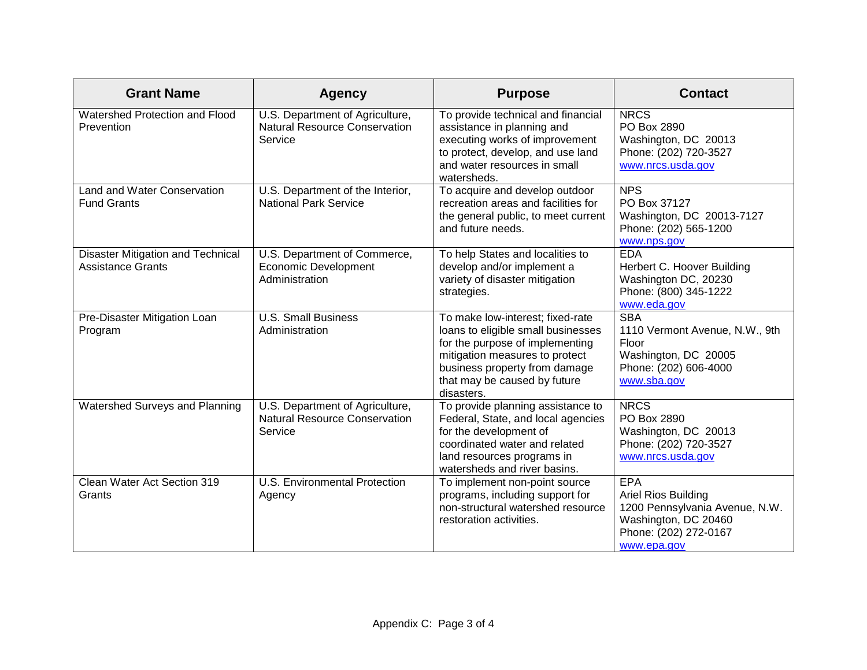| <b>Grant Name</b>                                             | <b>Agency</b>                                                                      | <b>Purpose</b>                                                                                                                                                                                                             | <b>Contact</b>                                                                                                                      |
|---------------------------------------------------------------|------------------------------------------------------------------------------------|----------------------------------------------------------------------------------------------------------------------------------------------------------------------------------------------------------------------------|-------------------------------------------------------------------------------------------------------------------------------------|
| Watershed Protection and Flood<br>Prevention                  | U.S. Department of Agriculture,<br>Natural Resource Conservation<br>Service        | To provide technical and financial<br>assistance in planning and<br>executing works of improvement<br>to protect, develop, and use land<br>and water resources in small<br>watersheds.                                     | <b>NRCS</b><br>PO Box 2890<br>Washington, DC 20013<br>Phone: (202) 720-3527<br>www.nrcs.usda.gov                                    |
| Land and Water Conservation<br><b>Fund Grants</b>             | U.S. Department of the Interior,<br><b>National Park Service</b>                   | To acquire and develop outdoor<br>recreation areas and facilities for<br>the general public, to meet current<br>and future needs.                                                                                          | <b>NPS</b><br>PO Box 37127<br>Washington, DC 20013-7127<br>Phone: (202) 565-1200<br>www.nps.gov                                     |
| Disaster Mitigation and Technical<br><b>Assistance Grants</b> | U.S. Department of Commerce,<br><b>Economic Development</b><br>Administration      | To help States and localities to<br>develop and/or implement a<br>variety of disaster mitigation<br>strategies.                                                                                                            | <b>EDA</b><br>Herbert C. Hoover Building<br>Washington DC, 20230<br>Phone: (800) 345-1222<br>www.eda.gov                            |
| Pre-Disaster Mitigation Loan<br>Program                       | <b>U.S. Small Business</b><br>Administration                                       | To make low-interest; fixed-rate<br>loans to eligible small businesses<br>for the purpose of implementing<br>mitigation measures to protect<br>business property from damage<br>that may be caused by future<br>disasters. | <b>SBA</b><br>1110 Vermont Avenue, N.W., 9th<br>Floor<br>Washington, DC 20005<br>Phone: (202) 606-4000<br>www.sba.gov               |
| Watershed Surveys and Planning                                | U.S. Department of Agriculture,<br><b>Natural Resource Conservation</b><br>Service | To provide planning assistance to<br>Federal, State, and local agencies<br>for the development of<br>coordinated water and related<br>land resources programs in<br>watersheds and river basins.                           | <b>NRCS</b><br>PO Box 2890<br>Washington, DC 20013<br>Phone: (202) 720-3527<br>www.nrcs.usda.gov                                    |
| Clean Water Act Section 319<br>Grants                         | U.S. Environmental Protection<br>Agency                                            | To implement non-point source<br>programs, including support for<br>non-structural watershed resource<br>restoration activities.                                                                                           | <b>EPA</b><br>Ariel Rios Building<br>1200 Pennsylvania Avenue, N.W.<br>Washington, DC 20460<br>Phone: (202) 272-0167<br>www.epa.gov |